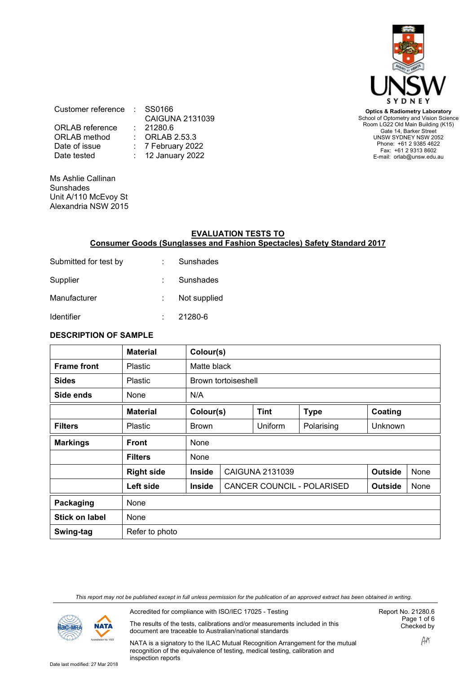

**Optics & Radiometry Laboratory** School of Optometry and Vision Science Room LG22 Old Main Building (K15) Gate 14, Barker Street UNSW SYDNEY NSW 2052 Phone: +61 2 9385 4622 Fax: +61 2 9313 8602 E-mail: orlab@unsw.edu.au

Customer reference : SS0166 CAIGUNA 2131039<br>21280.6 ORLAB reference<br>ORLAB method ORLAB method : ORLAB 2.53.3<br>Date of issue : 7 February 202 Date of issue : 7 February 2022<br>Date tested : 12 January 2022 : 12 January 2022

Ms Ashlie Callinan **Sunshades** Unit A/110 McEvoy St Alexandria NSW 2015

#### **EVALUATION TESTS TO Consumer Goods (Sunglasses and Fashion Spectacles) Safety Standard 2017**

| Submitted for test by | Sunshades    |
|-----------------------|--------------|
| Supplier              | Sunshades    |
| Manufacturer          | Not supplied |
| <b>Identifier</b>     | 21280-6      |

#### **DESCRIPTION OF SAMPLE**

|                       | <b>Material</b>   |                                         | Colour(s)           |                 |                            |                |      |
|-----------------------|-------------------|-----------------------------------------|---------------------|-----------------|----------------------------|----------------|------|
| <b>Frame front</b>    | <b>Plastic</b>    |                                         | Matte black         |                 |                            |                |      |
| <b>Sides</b>          | <b>Plastic</b>    |                                         | Brown tortoiseshell |                 |                            |                |      |
| Side ends             | None              | N/A                                     |                     |                 |                            |                |      |
|                       | <b>Material</b>   | <b>Tint</b><br>Colour(s)<br><b>Type</b> |                     |                 | Coating                    |                |      |
| <b>Filters</b>        | <b>Plastic</b>    | <b>Brown</b>                            |                     | Uniform         | Polarising                 | <b>Unknown</b> |      |
| <b>Markings</b>       | <b>Front</b>      | None                                    |                     |                 |                            |                |      |
|                       | <b>Filters</b>    | None                                    |                     |                 |                            |                |      |
|                       | <b>Right side</b> | <b>Inside</b>                           |                     | CAIGUNA 2131039 |                            | <b>Outside</b> | None |
|                       | Left side         | <b>Inside</b>                           |                     |                 | CANCER COUNCIL - POLARISED | <b>Outside</b> | None |
| Packaging             | None              |                                         |                     |                 |                            |                |      |
| <b>Stick on label</b> | None              |                                         |                     |                 |                            |                |      |
| Swing-tag             | Refer to photo    |                                         |                     |                 |                            |                |      |

*This report may not be published except in full unless permission for the publication of an approved extract has been obtained in writing.*



Accredited for compliance with ISO/IEC 17025 - Testing

The results of the tests, calibrations and/or measurements included in this document are traceable to Australian/national standards

Report No. 21280.6 Page 1 of 6 Checked by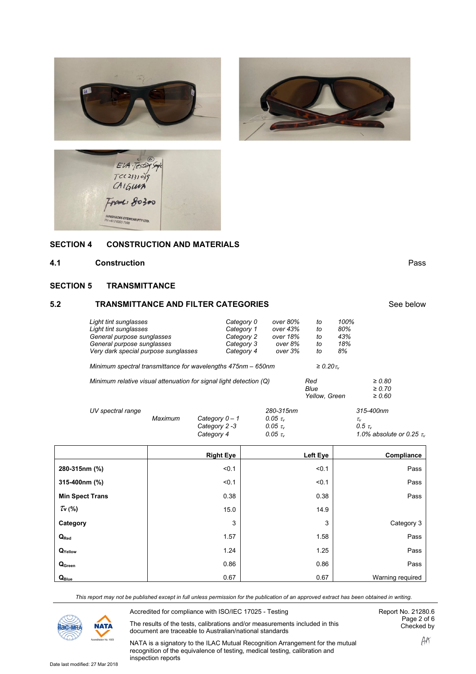





#### **SECTION 4 SECTION 4 CONSTRUCTION AND MATERIALS**

#### **4.1 Construction** Pass

#### **SECTION 5 TRANSMITTANCE**

### **5.2 TRANSMITTANCE AND FILTER CATEGORIES** See below

| Light tint sunglasses                                              | Category 0 | over 80%              | to            | 100% |             |
|--------------------------------------------------------------------|------------|-----------------------|---------------|------|-------------|
| Light tint sunglasses                                              | Category 1 | over 43%              | to            | 80%  |             |
| General purpose sunglasses                                         | Category 2 | over 18%              | to            | 43%  |             |
| General purpose sunglasses                                         | Category 3 | over 8%               | to            | 18%  |             |
| Very dark special purpose sunglasses                               | Category 4 | over 3%               | to            | 8%   |             |
| Minimum spectral transmittance for wavelengths 475nm - 650nm       |            | $\geq 0.20\,\tau_{v}$ |               |      |             |
| Minimum relative visual attenuation for signal light detection (Q) |            |                       |               |      | $\geq 0.80$ |
|                                                                    |            |                       | Blue          |      | $\geq 0.70$ |
|                                                                    |            |                       | Yellow, Green |      | $\geq 0.60$ |
|                                                                    |            |                       |               |      |             |

| UV spectral range |         |                  | 280-315nm         | 315-400nm                          |
|-------------------|---------|------------------|-------------------|------------------------------------|
|                   | Maximum | Category $0 - 1$ | 0.05 $\tau_{\nu}$ | $\tau_{\rm\scriptscriptstyle v}$   |
|                   |         | Category 2 -3    | 0.05 $\tau_{\nu}$ | 0.5 $\tau_{\nu}$                   |
|                   |         | Category 4       | 0.05 $\tau_{\nu}$ | 1.0% absolute or 0.25 $\tau_{\nu}$ |

|                                | <b>Right Eye</b> | Left Eye | Compliance       |
|--------------------------------|------------------|----------|------------------|
| 280-315nm (%)                  | < 0.1            | < 0.1    | Pass             |
| 315-400nm (%)                  | < 0.1            | < 0.1    | Pass             |
| <b>Min Spect Trans</b>         | 0.38             | 0.38     | Pass             |
| $\tau_{\rm v}$ (%)             | 15.0             | 14.9     |                  |
| Category                       | 3                | 3        | Category 3       |
| $Q_{Red}$                      | 1.57             | 1.58     | Pass             |
| $\mathbf{Q}_{\mathsf{Yellow}}$ | 1.24             | 1.25     | Pass             |
| Q <sub>Green</sub>             | 0.86             | 0.86     | Pass             |
| Q <sub>Blue</sub>              | 0.67             | 0.67     | Warning required |

*This report may not be published except in full unless permission for the publication of an approved extract has been obtained in writing.*



Accredited for compliance with ISO/IEC 17025 - Testing

The results of the tests, calibrations and/or measurements included in this document are traceable to Australian/national standards

Report No. 21280.6 Page 2 of 6 Checked by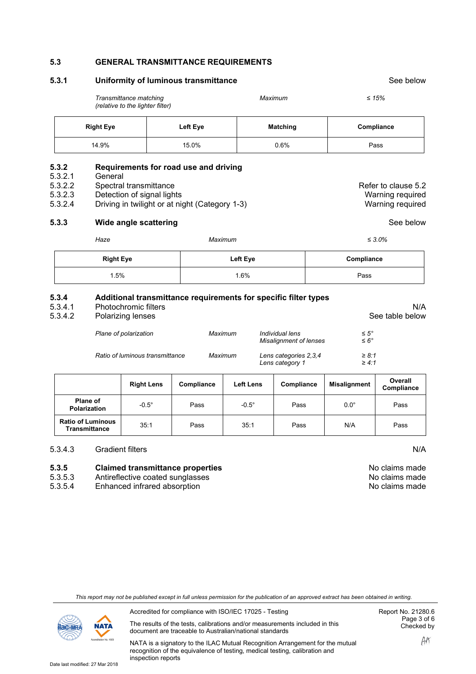#### **5.3 GENERAL TRANSMITTANCE REQUIREMENTS**

| Uniformity of luminous transmittance<br>5.3.1     |                                                                                                                                                            |          |                                                     |                                                                 | See below                |                                                             |                        |
|---------------------------------------------------|------------------------------------------------------------------------------------------------------------------------------------------------------------|----------|-----------------------------------------------------|-----------------------------------------------------------------|--------------------------|-------------------------------------------------------------|------------------------|
|                                                   | Transmittance matching<br>(relative to the lighter filter)                                                                                                 |          |                                                     | Maximum                                                         |                          | $≤ 15%$                                                     |                        |
|                                                   | <b>Right Eye</b>                                                                                                                                           | Left Eye |                                                     | <b>Matching</b>                                                 |                          | Compliance                                                  |                        |
|                                                   | 14.9%                                                                                                                                                      | 15.0%    |                                                     | 0.6%                                                            |                          | Pass                                                        |                        |
| 5.3.2<br>5.3.2.1<br>5.3.2.2<br>5.3.2.3<br>5.3.2.4 | Requirements for road use and driving<br>General<br>Spectral transmittance<br>Detection of signal lights<br>Driving in twilight or at night (Category 1-3) |          |                                                     |                                                                 |                          | Refer to clause 5.2<br>Warning required<br>Warning required |                        |
| 5.3.3                                             | Wide angle scattering                                                                                                                                      |          |                                                     |                                                                 |                          | See below                                                   |                        |
|                                                   | Haze                                                                                                                                                       |          | Maximum                                             |                                                                 |                          | $\leq 3.0\%$                                                |                        |
|                                                   | <b>Right Eye</b>                                                                                                                                           |          | Left Eye                                            |                                                                 |                          | Compliance                                                  |                        |
|                                                   | 1.5%                                                                                                                                                       |          | 1.6%                                                |                                                                 | Pass                     |                                                             |                        |
| 5.3.4<br>5.3.4.1<br>5.3.4.2                       | Photochromic filters<br>Polarizing lenses                                                                                                                  |          |                                                     | Additional transmittance requirements for specific filter types |                          |                                                             | N/A<br>See table below |
|                                                   | Plane of polarization                                                                                                                                      |          | Maximum                                             | Individual lens<br>Misalignment of lenses                       |                          | $\leq 5^{\circ}$<br>$\leq 6^{\circ}$                        |                        |
|                                                   | Ratio of luminous transmittance                                                                                                                            |          | Maximum<br>Lens categories 2,3,4<br>Lens category 1 |                                                                 | $\geq 8:1$<br>$\geq 4:1$ |                                                             |                        |

|                                                  | <b>Right Lens</b> | <b>Compliance</b> | <b>Left Lens</b> | Compliance | <b>Misalignment</b> | Overall<br>Compliance |
|--------------------------------------------------|-------------------|-------------------|------------------|------------|---------------------|-----------------------|
| <b>Plane of</b><br><b>Polarization</b>           | $-0.5^\circ$      | Pass              | $-0.5^\circ$     | Pass       | $0.0^\circ$         | Pass                  |
| <b>Ratio of Luminous</b><br><b>Transmittance</b> | 35:1              | Pass              | 35:1             | Pass       | N/A                 | Pass                  |

#### 5.3.4.3 Gradient filters N/A

# **5.3.5 Claimed transmittance properties**<br>5.3.5.3 Antireflective coated sunglasses

- 5.3.5.3 Antireflective coated sunglasses<br>5.3.5.4 Enhanced infrared absorption
- Enhanced infrared absorption

| No claims made |  |
|----------------|--|
| No claims made |  |
| No claims made |  |

| This report may not be published except in full unless permission for the publication of an approved extract has been obtained in writing. |
|--------------------------------------------------------------------------------------------------------------------------------------------|
|                                                                                                                                            |



Accredited for compliance with ISO/IEC 17025 - Testing

The results of the tests, calibrations and/or measurements included in this document are traceable to Australian/national standards

Report No. 21280.6 Page 3 of 6 Checked by

NATA is a signatory to the ILAC Mutual Recognition Arrangement for the mutual recognition of the equivalence of testing, medical testing, calibration and inspection reports

AAT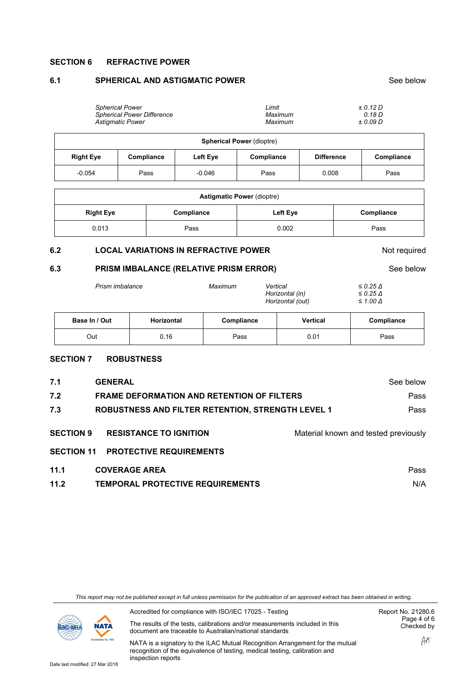#### **SECTION 6 REFRACTIVE POWER**

#### **6.1 SPHERICAL AND ASTIGMATIC POWER SEE BELOW SEE BELOW** See below

| <b>Spherical Power</b><br><b>Spherical Power Difference</b><br><b>Astigmatic Power</b> |            |          | Limit<br>Maximum<br>Maximum |                   | ± 0.12 D<br>0.18D<br>± 0.09 D |  |  |  |
|----------------------------------------------------------------------------------------|------------|----------|-----------------------------|-------------------|-------------------------------|--|--|--|
| <b>Spherical Power (dioptre)</b>                                                       |            |          |                             |                   |                               |  |  |  |
| <b>Right Eye</b>                                                                       | Compliance | Left Eye | Compliance                  | <b>Difference</b> | Compliance                    |  |  |  |
| $-0.054$                                                                               | Pass       | $-0.046$ | Pass                        | 0.008             | Pass                          |  |  |  |

| <b>Astigmatic Power (dioptre)</b> |            |          |            |  |  |
|-----------------------------------|------------|----------|------------|--|--|
| <b>Right Eye</b>                  | Compliance | Left Eye | Compliance |  |  |
| 0.013                             | Pass       | 0.002    | Pass       |  |  |

#### **6.2 LOCAL VARIATIONS IN REFRACTIVE POWER** Not required

#### **6.3 PRISM IMBALANCE (RELATIVE PRISM ERROR)** See below

| Prism imbalance | Maximum | Vertical | Horizontal (in)<br>Horizontal (out) | $\leq$ 0.25 $\Delta$<br>$\leq$ 0.25 $\Delta$<br>$\leq 1.00 \Delta$ |  |
|-----------------|---------|----------|-------------------------------------|--------------------------------------------------------------------|--|
|                 |         |          |                                     |                                                                    |  |

| Base In / Out | <b>Horizontal</b> | Compliance | <b>Vertical</b> | <b>Compliance</b> |
|---------------|-------------------|------------|-----------------|-------------------|
| Out           | ิ<br>0.16         | Pass       | 0.01            | Pass              |

#### **SECTION 7 ROBUSTNESS**

| 7.1                                   | <b>GENERAL</b>                                                  | See below                            |
|---------------------------------------|-----------------------------------------------------------------|--------------------------------------|
| 7.2                                   | <b>FRAME DEFORMATION AND RETENTION OF FILTERS</b>               |                                      |
| 7.3                                   | <b>ROBUSTNESS AND FILTER RETENTION, STRENGTH LEVEL 1</b>        |                                      |
| <b>SECTION 9</b><br><b>SECTION 11</b> | <b>RESISTANCE TO IGNITION</b><br><b>PROTECTIVE REQUIREMENTS</b> | Material known and tested previously |
| 11.1                                  | <b>COVERAGE AREA</b>                                            | Pass                                 |
| 11.2                                  | <b>TEMPORAL PROTECTIVE REQUIREMENTS</b>                         | N/A                                  |

*This report may not be published except in full unless permission for the publication of an approved extract has been obtained in writing.*



Accredited for compliance with ISO/IEC 17025 - Testing

The results of the tests, calibrations and/or measurements included in this document are traceable to Australian/national standards

Report No. 21280.6 Page 4 of 6 Checked by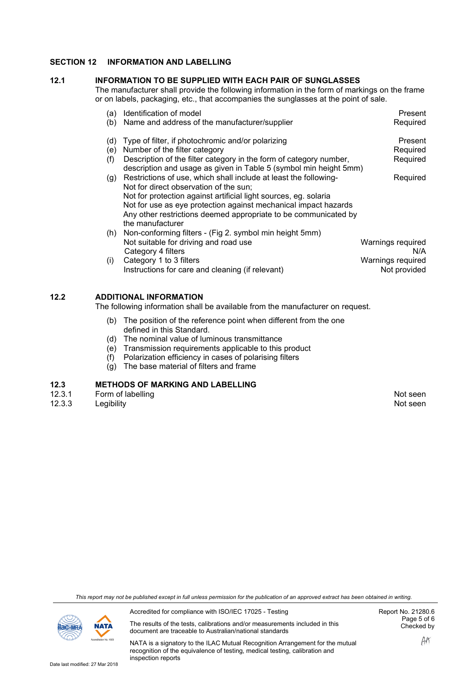### **SECTION 12 INFORMATION AND LABELLING**

#### **12.1 INFORMATION TO BE SUPPLIED WITH EACH PAIR OF SUNGLASSES**

The manufacturer shall provide the following information in the form of markings on the frame or on labels, packaging, etc., that accompanies the sunglasses at the point of sale.

| (a) | Identification of model                                              | Present           |
|-----|----------------------------------------------------------------------|-------------------|
| (b) | Name and address of the manufacturer/supplier                        | Required          |
| (d) | Type of filter, if photochromic and/or polarizing                    | Present           |
| (e) | Number of the filter category                                        | Required          |
| (f) | Description of the filter category in the form of category number,   | Required          |
|     | description and usage as given in Table 5 (symbol min height 5mm)    |                   |
|     | (g) Restrictions of use, which shall include at least the following- | Required          |
|     | Not for direct observation of the sun;                               |                   |
|     | Not for protection against artificial light sources, eg. solaria     |                   |
|     | Not for use as eye protection against mechanical impact hazards      |                   |
|     | Any other restrictions deemed appropriate to be communicated by      |                   |
|     | the manufacturer                                                     |                   |
| (h) | Non-conforming filters - (Fig 2. symbol min height 5mm)              |                   |
|     | Not suitable for driving and road use                                | Warnings required |
|     | Category 4 filters                                                   | N/A               |
| (i) | Category 1 to 3 filters                                              | Warnings required |
|     | Instructions for care and cleaning (if relevant)                     | Not provided      |
|     |                                                                      |                   |

#### **12.2 ADDITIONAL INFORMATION**

The following information shall be available from the manufacturer on request.

- (b) The position of the reference point when different from the one defined in this Standard.
- (d) The nominal value of luminous transmittance
- (e) Transmission requirements applicable to this product
- (f) Polarization efficiency in cases of polarising filters
- $(q)$  The base material of filters and frame

## **12.3 METHODS OF MARKING AND LABELLING**

- 12.3.1 Form of labelling The Control of Labelling Control of Labelling Control of Labelling Control of Labelling<br>12.3.3 Legibility Control of Labelling Control of Labelling Control of Labelling Control of Labelling Control
- 12.3.3 Legibility Not seen

*This report may not be published except in full unless permission for the publication of an approved extract has been obtained in writing.*



Accredited for compliance with ISO/IEC 17025 - Testing

The results of the tests, calibrations and/or measurements included in this document are traceable to Australian/national standards

Report No. 21280.6 Page 5 of 6 Checked by